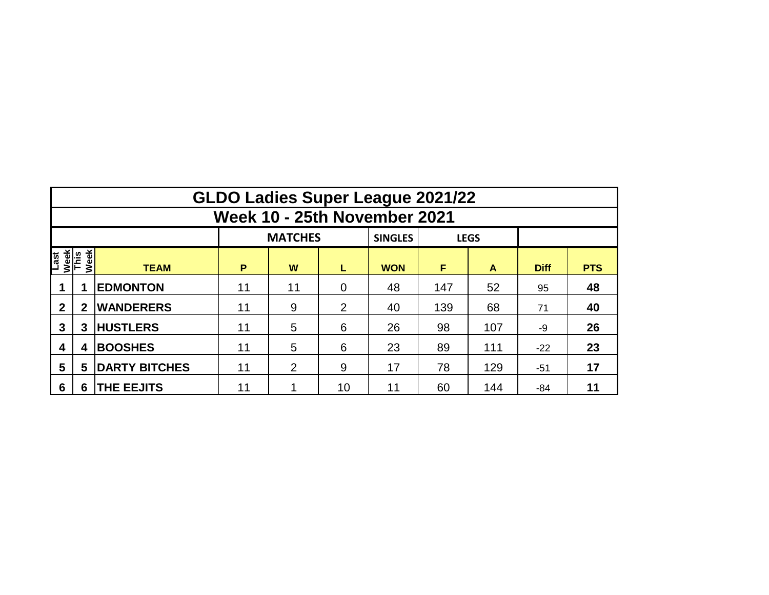|                              | <b>GLDO Ladies Super League 2021/22</b> |                      |         |                |             |                |     |             |             |            |  |  |  |  |  |
|------------------------------|-----------------------------------------|----------------------|---------|----------------|-------------|----------------|-----|-------------|-------------|------------|--|--|--|--|--|
|                              | Week 10 - 25th November 2021            |                      |         |                |             |                |     |             |             |            |  |  |  |  |  |
|                              |                                         |                      |         | <b>MATCHES</b> |             | <b>SINGLES</b> |     | <b>LEGS</b> |             |            |  |  |  |  |  |
| Last<br>Week<br>This<br>Week |                                         | <b>TEAM</b>          | P<br>W  |                | L           | <b>WON</b>     | F   | A           | <b>Diff</b> | <b>PTS</b> |  |  |  |  |  |
|                              |                                         | <b>EDMONTON</b>      | 11      | 11             | $\mathbf 0$ | 48             | 147 | 52          | 95          | 48         |  |  |  |  |  |
| $\mathbf{2}$                 | $\mathbf{2}$                            | <b>WANDERERS</b>     | 11      | 9              | 2           | 40             | 139 | 68          | 71          | 40         |  |  |  |  |  |
| 3                            | 3                                       | <b>HUSTLERS</b>      | 11      | 5              | 6           | 26             | 98  | 107         | -9          | 26         |  |  |  |  |  |
| 4                            | 4                                       | <b>BOOSHES</b>       | 5<br>11 |                | 6           | 23             | 89  | 111         | $-22$       | 23         |  |  |  |  |  |
| 5                            | 5                                       | <b>DARTY BITCHES</b> | 11      | 2              | 9           | 17             | 78  | 129         | $-51$       | 17         |  |  |  |  |  |
| 6                            | 6                                       | <b>THE EEJITS</b>    | 11      |                | 10          | 11             | 60  | 144         | $-84$       | 11         |  |  |  |  |  |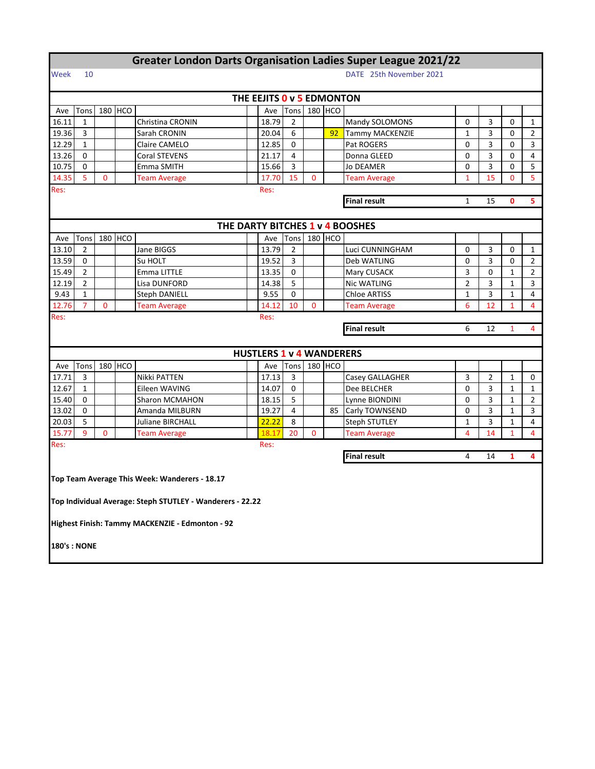|                    | <b>Greater London Darts Organisation Ladies Super League 2021/22</b> |              |         |                                                           |  |                                 |      |              |         |                                     |                |    |              |                |  |  |
|--------------------|----------------------------------------------------------------------|--------------|---------|-----------------------------------------------------------|--|---------------------------------|------|--------------|---------|-------------------------------------|----------------|----|--------------|----------------|--|--|
| Week               | DATE 25th November 2021<br>10                                        |              |         |                                                           |  |                                 |      |              |         |                                     |                |    |              |                |  |  |
|                    |                                                                      |              |         |                                                           |  | THE EEJITS 0 v 5 EDMONTON       |      |              |         |                                     |                |    |              |                |  |  |
| Ave                | Tons                                                                 |              | 180 HCO |                                                           |  | Ave                             | Tons |              | 180 HCO |                                     |                |    |              |                |  |  |
| 16.11              | $\mathbf{1}$                                                         |              |         | Christina CRONIN                                          |  | 18.79                           | 2    |              |         | Mandy SOLOMONS                      | 0              | 3  | 0            | 1              |  |  |
| 19.36              | 3                                                                    |              |         | Sarah CRONIN                                              |  | 20.04                           | 6    |              | 92      | Tammy MACKENZIE                     | 1              | 3  | 0            | $\overline{2}$ |  |  |
| 12.29              | $\mathbf{1}$                                                         |              |         | Claire CAMELO                                             |  | 12.85                           | 0    |              |         | Pat ROGERS                          | 0              | 3  | 0            | 3              |  |  |
| 13.26              | 0                                                                    |              |         | Coral STEVENS                                             |  | 21.17                           | 4    |              |         | Donna GLEED                         | 0              | 3  | 0            | $\overline{4}$ |  |  |
| 10.75              | 0                                                                    |              |         | Emma SMITH                                                |  | 15.66                           | 3    |              |         | Jo DEAMER                           | 0              | 3  | 0            | 5              |  |  |
| 14.35              | 5                                                                    | 0            |         | <b>Team Average</b>                                       |  | 17.70                           | 15   | $\mathbf{0}$ |         | <b>Team Average</b>                 | $\mathbf{1}$   | 15 | 0            | 5              |  |  |
| Res:               | Res:                                                                 |              |         |                                                           |  |                                 |      |              |         |                                     |                |    |              |                |  |  |
|                    |                                                                      |              |         |                                                           |  |                                 |      |              |         | <b>Final result</b><br>15<br>0<br>1 |                |    |              |                |  |  |
|                    |                                                                      |              |         |                                                           |  |                                 |      |              |         |                                     |                |    |              |                |  |  |
|                    |                                                                      |              |         |                                                           |  |                                 |      |              |         | THE DARTY BITCHES 1 v 4 BOOSHES     |                |    |              |                |  |  |
| Ave                | Tons                                                                 |              | 180 HCO |                                                           |  | Ave                             | Tons |              | 180 HCO |                                     |                |    |              |                |  |  |
| 13.10              | 2                                                                    |              |         | Jane BIGGS                                                |  | 13.79                           | 2    |              |         | Luci CUNNINGHAM                     | 0              | 3  | 0            | 1              |  |  |
| 13.59              | 0                                                                    |              |         | Su HOLT                                                   |  | 19.52                           | 3    |              |         | Deb WATLING                         | 0              | 3  | 0            | $\overline{2}$ |  |  |
| 15.49              | $\overline{2}$                                                       |              |         | Emma LITTLE                                               |  | 13.35                           | 0    |              |         | Mary CUSACK                         | 3              | 0  | 1            | $\overline{2}$ |  |  |
| 12.19              | 2                                                                    |              |         | Lisa DUNFORD                                              |  | 14.38                           | 5    |              |         | Nic WATLING                         | $\overline{2}$ | 3  | $\mathbf{1}$ | 3              |  |  |
| 9.43               | $\mathbf{1}$                                                         |              |         | <b>Steph DANIELL</b>                                      |  | 9.55                            | 0    |              |         | <b>Chloe ARTISS</b>                 | $\mathbf{1}$   | 3  | $\mathbf{1}$ | 4              |  |  |
| 12.76              | $\overline{7}$                                                       | $\mathbf{0}$ |         | <b>Team Average</b>                                       |  | 14.12                           | 10   | $\mathbf{0}$ |         | <b>Team Average</b>                 | 6              | 12 | $\mathbf{1}$ | 4              |  |  |
| Res:               |                                                                      |              |         |                                                           |  | Res:                            |      |              |         |                                     |                |    |              |                |  |  |
|                    |                                                                      |              |         |                                                           |  |                                 |      |              |         | <b>Final result</b>                 | 6              | 12 | $\mathbf{1}$ | 4              |  |  |
|                    |                                                                      |              |         |                                                           |  |                                 |      |              |         |                                     |                |    |              |                |  |  |
|                    |                                                                      |              |         |                                                           |  | <b>HUSTLERS 1 v 4 WANDERERS</b> |      |              |         |                                     |                |    |              |                |  |  |
| Ave                | Tons                                                                 |              | 180 HCO |                                                           |  | Ave                             | Tons |              | 180 HCO |                                     |                |    |              |                |  |  |
| 17.71              | 3                                                                    |              |         | Nikki PATTEN                                              |  | 17.13                           | 3    |              |         | Casey GALLAGHER                     | 3              | 2  | 1            | 0              |  |  |
| 12.67              | 1                                                                    |              |         | Eileen WAVING                                             |  | 14.07                           | 0    |              |         | Dee BELCHER                         | 0              | 3  | $\mathbf{1}$ | 1              |  |  |
| 15.40              | $\Omega$                                                             |              |         | Sharon MCMAHON                                            |  | 18.15                           | 5    |              |         | Lynne BIONDINI                      | 0              | 3  | 1            | $\overline{2}$ |  |  |
| 13.02              | $\Omega$                                                             |              |         | Amanda MILBURN                                            |  | 19.27                           | 4    |              | 85      | Carly TOWNSEND                      | 0              | 3  | $\mathbf{1}$ | 3              |  |  |
| 20.03              | 5                                                                    |              |         | Juliane BIRCHALL                                          |  | 22.22                           | 8    |              |         | <b>Steph STUTLEY</b>                | $\mathbf{1}$   | 3  | 1            | 4              |  |  |
| 15.77              | 9                                                                    | $\mathbf{0}$ |         | <b>Team Average</b>                                       |  | 18.17                           | 20   | $\mathbf{0}$ |         | <b>Team Average</b>                 | 4              | 14 | $\mathbf{1}$ | 4              |  |  |
| Res:               |                                                                      |              |         |                                                           |  | Res:                            |      |              |         |                                     |                |    |              |                |  |  |
|                    |                                                                      |              |         |                                                           |  |                                 |      |              |         | <b>Final result</b>                 | 4              | 14 | 1            | 4              |  |  |
|                    |                                                                      |              |         |                                                           |  |                                 |      |              |         |                                     |                |    |              |                |  |  |
|                    |                                                                      |              |         | Top Team Average This Week: Wanderers - 18.17             |  |                                 |      |              |         |                                     |                |    |              |                |  |  |
|                    |                                                                      |              |         |                                                           |  |                                 |      |              |         |                                     |                |    |              |                |  |  |
|                    |                                                                      |              |         | Top Individual Average: Steph STUTLEY - Wanderers - 22.22 |  |                                 |      |              |         |                                     |                |    |              |                |  |  |
|                    |                                                                      |              |         |                                                           |  |                                 |      |              |         |                                     |                |    |              |                |  |  |
|                    |                                                                      |              |         | Highest Finish: Tammy MACKENZIE - Edmonton - 92           |  |                                 |      |              |         |                                     |                |    |              |                |  |  |
| <b>180's: NONE</b> |                                                                      |              |         |                                                           |  |                                 |      |              |         |                                     |                |    |              |                |  |  |
|                    |                                                                      |              |         |                                                           |  |                                 |      |              |         |                                     |                |    |              |                |  |  |